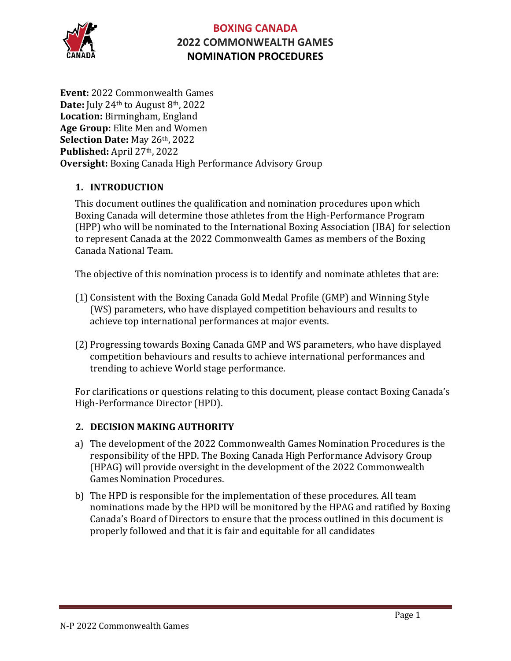

**Event:** 2022 Commonwealth Games **Date:** July 24th to August 8th, 2022 **Location:** Birmingham, England **Age Group:** Elite Men and Women **Selection Date:** May 26th, 2022 **Published:** April 27th, 2022 **Oversight:** Boxing Canada High Performance Advisory Group

### **1. INTRODUCTION**

This document outlines the qualification and nomination procedures upon which Boxing Canada will determine those athletes from the High-Performance Program (HPP) who will be nominated to the International Boxing Association (IBA) for selection to represent Canada at the 2022 Commonwealth Games as members of the Boxing Canada National Team.

The objective of this nomination process is to identify and nominate athletes that are:

- (1) Consistent with the Boxing Canada Gold Medal Profile (GMP) and Winning Style (WS) parameters, who have displayed competition behaviours and results to achieve top international performances at major events.
- (2) Progressing towards Boxing Canada GMP and WS parameters, who have displayed competition behaviours and results to achieve international performances and trending to achieve World stage performance.

For clarifications or questions relating to this document, please contact Boxing Canada's High-Performance Director (HPD).

### **2. DECISION MAKING AUTHORITY**

- a) The development of the 2022 Commonwealth Games Nomination Procedures is the responsibility of the HPD. The Boxing Canada High Performance Advisory Group (HPAG) will provide oversight in the development of the 2022 Commonwealth Games Nomination Procedures.
- b) The HPD is responsible for the implementation of these procedures. All team nominations made by the HPD will be monitored by the HPAG and ratified by Boxing Canada's Board of Directors to ensure that the process outlined in this document is properly followed and that it is fair and equitable for all candidates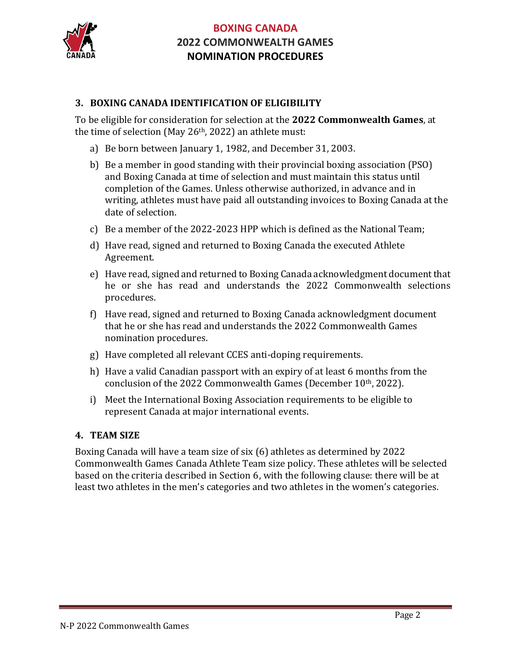

### **3. BOXING CANADA IDENTIFICATION OF ELIGIBILITY**

To be eligible for consideration for selection at the **2022 Commonwealth Games**, at the time of selection (May 26th, 2022) an athlete must:

- a) Be born between January 1, 1982, and December 31, 2003.
- b) Be a member in good standing with their provincial boxing association (PSO) and Boxing Canada at time of selection and must maintain this status until completion of the Games. Unless otherwise authorized, in advance and in writing, athletes must have paid all outstanding invoices to Boxing Canada at the date of selection.
- c) Be a member of the 2022-2023 HPP which is defined as the National Team;
- d) Have read, signed and returned to Boxing Canada the executed Athlete Agreement.
- e) Have read, signed and returned to Boxing Canada acknowledgment document that he or she has read and understands the 2022 Commonwealth selections procedures.
- f) Have read, signed and returned to Boxing Canada acknowledgment document that he or she has read and understands the 2022 Commonwealth Games nomination procedures.
- g) Have completed all relevant CCES anti-doping requirements.
- h) Have a valid Canadian passport with an expiry of at least 6 months from the conclusion of the 2022 Commonwealth Games (December 10th, 2022).
- i) Meet the International Boxing Association requirements to be eligible to represent Canada at major international events.

### **4. TEAM SIZE**

Boxing Canada will have a team size of six (6) athletes as determined by 2022 Commonwealth Games Canada Athlete Team size policy. These athletes will be selected based on the criteria described in Section 6, with the following clause: there will be at least two athletes in the men's categories and two athletes in the women's categories.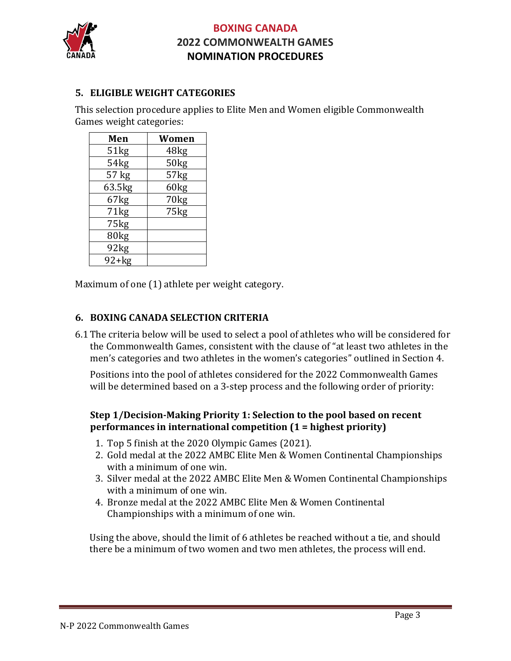

### **5. ELIGIBLE WEIGHT CATEGORIES**

This selection procedure applies to Elite Men and Women eligible Commonwealth Games weight categories:

| Men     | Women |
|---------|-------|
| 51kg    | 48kg  |
| 54kg    | 50kg  |
| 57 kg   | 57kg  |
| 63.5kg  | 60kg  |
| 67kg    | 70kg  |
| 71kg    | 75kg  |
| 75kg    |       |
| 80kg    |       |
| 92kg    |       |
| $92+kg$ |       |

Maximum of one (1) athlete per weight category.

#### **6. BOXING CANADA SELECTION CRITERIA**

6.1 The criteria below will be used to select a pool of athletes who will be considered for the Commonwealth Games, consistent with the clause of "at least two athletes in the men's categories and two athletes in the women's categories" outlined in Section 4.

Positions into the pool of athletes considered for the 2022 Commonwealth Games will be determined based on a 3-step process and the following order of priority:

#### **Step 1/Decision-Making Priority 1: Selection to the pool based on recent performances in international competition (1 = highest priority)**

- 1. Top 5 finish at the 2020 Olympic Games (2021).
- 2. Gold medal at the 2022 AMBC Elite Men & Women Continental Championships with a minimum of one win.
- 3. Silver medal at the 2022 AMBC Elite Men & Women Continental Championships with a minimum of one win.
- 4. Bronze medal at the 2022 AMBC Elite Men & Women Continental Championships with a minimum of one win.

Using the above, should the limit of 6 athletes be reached without a tie, and should there be a minimum of two women and two men athletes, the process will end.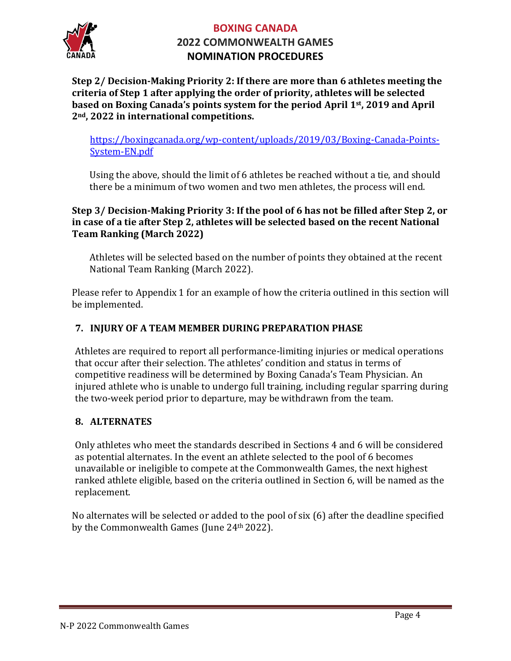

**Step 2/ Decision-Making Priority 2: If there are more than 6 athletes meeting the criteria of Step 1 after applying the order of priority, athletes will be selected based on Boxing Canada's points system for the period April 1st, 2019 and April 2nd, 2022 in international competitions.**

[https://boxingcanada.org/wp-content/uploads/2019/03/Boxing-Canada-Points-](https://boxingcanada.org/wp-content/uploads/2019/03/Boxing-Canada-Points-System-EN.pdf)[System-EN.pdf](https://boxingcanada.org/wp-content/uploads/2019/03/Boxing-Canada-Points-System-EN.pdf)

Using the above, should the limit of 6 athletes be reached without a tie, and should there be a minimum of two women and two men athletes, the process will end.

### **Step 3/ Decision-Making Priority 3: If the pool of 6 has not be filled after Step 2, or in case of a tie after Step 2, athletes will be selected based on the recent National Team Ranking (March 2022)**

Athletes will be selected based on the number of points they obtained at the recent National Team Ranking (March 2022).

Please refer to Appendix 1 for an example of how the criteria outlined in this section will be implemented.

# **7. INJURY OF A TEAM MEMBER DURING PREPARATION PHASE**

Athletes are required to report all performance-limiting injuries or medical operations that occur after their selection. The athletes' condition and status in terms of competitive readiness will be determined by Boxing Canada's Team Physician. An injured athlete who is unable to undergo full training, including regular sparring during the two-week period prior to departure, may be withdrawn from the team.

### **8. ALTERNATES**

Only athletes who meet the standards described in Sections 4 and 6 will be considered as potential alternates. In the event an athlete selected to the pool of 6 becomes unavailable or ineligible to compete at the Commonwealth Games, the next highest ranked athlete eligible, based on the criteria outlined in Section 6, will be named as the replacement.

No alternates will be selected or added to the pool of six (6) after the deadline specified by the Commonwealth Games (June 24th 2022).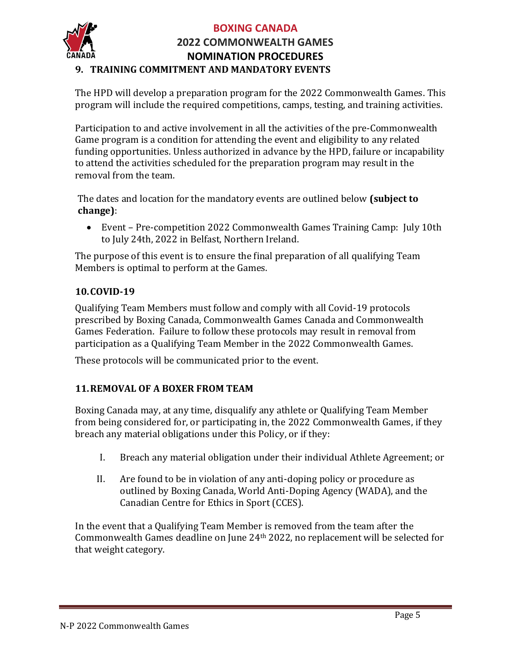

# **BOXING CANADA 2022 COMMONWEALTH GAMES NOMINATION PROCEDURES 9. TRAINING COMMITMENT AND MANDATORY EVENTS**

The HPD will develop a preparation program for the 2022 Commonwealth Games. This program will include the required competitions, camps, testing, and training activities.

Participation to and active involvement in all the activities of the pre-Commonwealth Game program is a condition for attending the event and eligibility to any related funding opportunities. Unless authorized in advance by the HPD, failure or incapability to attend the activities scheduled for the preparation program may result in the removal from the team.

The dates and location for the mandatory events are outlined below **(subject to change)**:

• Event – Pre-competition 2022 Commonwealth Games Training Camp: July 10th to July 24th, 2022 in Belfast, Northern Ireland.

The purpose of this event is to ensure the final preparation of all qualifying Team Members is optimal to perform at the Games.

# **10.COVID-19**

Qualifying Team Members must follow and comply with all Covid-19 protocols prescribed by Boxing Canada, Commonwealth Games Canada and Commonwealth Games Federation. Failure to follow these protocols may result in removal from participation as a Qualifying Team Member in the 2022 Commonwealth Games.

These protocols will be communicated prior to the event.

# **11.REMOVAL OF A BOXER FROM TEAM**

Boxing Canada may, at any time, disqualify any athlete or Qualifying Team Member from being considered for, or participating in, the 2022 Commonwealth Games, if they breach any material obligations under this Policy, or if they:

- I. Breach any material obligation under their individual Athlete Agreement; or
- II. Are found to be in violation of any anti-doping policy or procedure as outlined by Boxing Canada, World Anti-Doping Agency (WADA), and the Canadian Centre for Ethics in Sport (CCES).

In the event that a Qualifying Team Member is removed from the team after the Commonwealth Games deadline on June 24th 2022, no replacement will be selected for that weight category.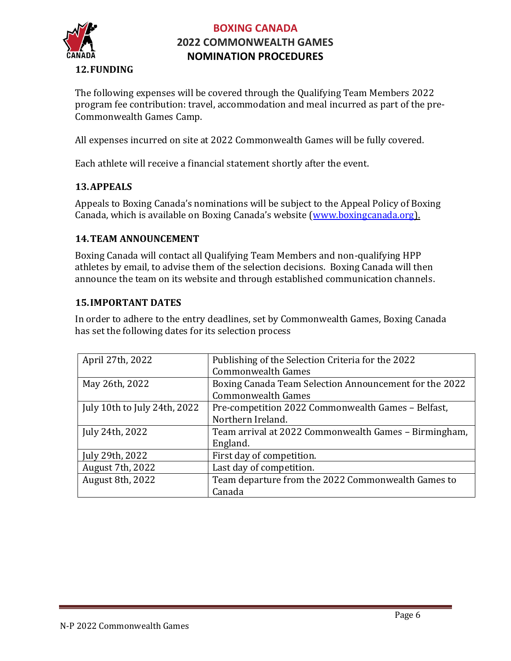

The following expenses will be covered through the Qualifying Team Members 2022 program fee contribution: travel, accommodation and meal incurred as part of the pre-Commonwealth Games Camp.

All expenses incurred on site at 2022 Commonwealth Games will be fully covered.

Each athlete will receive a financial statement shortly after the event.

#### **13.APPEALS**

Appeals to Boxing Canada's nominations will be subject to the Appeal Policy of Boxing Canada, which is available on Boxing Canada's website ([www.boxingcanada.org\)](http://www.boxingcanada.org/).

#### **14.TEAM ANNOUNCEMENT**

Boxing Canada will contact all Qualifying Team Members and non-qualifying HPP athletes by email, to advise them of the selection decisions. Boxing Canada will then announce the team on its website and through established communication channels.

#### **15.IMPORTANT DATES**

In order to adhere to the entry deadlines, set by Commonwealth Games, Boxing Canada has set the following dates for its selection process

| April 27th, 2022             | Publishing of the Selection Criteria for the 2022      |
|------------------------------|--------------------------------------------------------|
|                              | <b>Commonwealth Games</b>                              |
| May 26th, 2022               | Boxing Canada Team Selection Announcement for the 2022 |
|                              | <b>Commonwealth Games</b>                              |
| July 10th to July 24th, 2022 | Pre-competition 2022 Commonwealth Games - Belfast,     |
|                              | Northern Ireland.                                      |
| July 24th, 2022              | Team arrival at 2022 Commonwealth Games - Birmingham,  |
|                              | England.                                               |
| July 29th, 2022              | First day of competition.                              |
| August 7th, 2022             | Last day of competition.                               |
| August 8th, 2022             | Team departure from the 2022 Commonwealth Games to     |
|                              | Canada                                                 |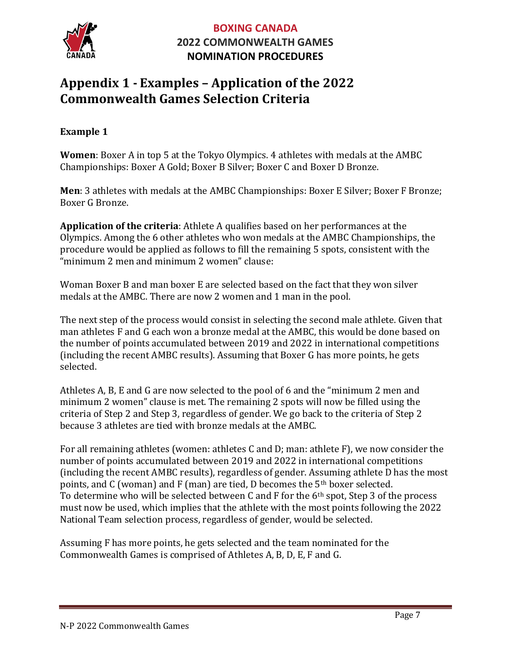

# **Appendix 1 - Examples – Application of the 2022 Commonwealth Games Selection Criteria**

### **Example 1**

**Women**: Boxer A in top 5 at the Tokyo Olympics. 4 athletes with medals at the AMBC Championships: Boxer A Gold; Boxer B Silver; Boxer C and Boxer D Bronze.

**Men**: 3 athletes with medals at the AMBC Championships: Boxer E Silver; Boxer F Bronze; Boxer G Bronze.

**Application of the criteria**: Athlete A qualifies based on her performances at the Olympics. Among the 6 other athletes who won medals at the AMBC Championships, the procedure would be applied as follows to fill the remaining 5 spots, consistent with the "minimum 2 men and minimum 2 women" clause:

Woman Boxer B and man boxer E are selected based on the fact that they won silver medals at the AMBC. There are now 2 women and 1 man in the pool.

The next step of the process would consist in selecting the second male athlete. Given that man athletes F and G each won a bronze medal at the AMBC, this would be done based on the number of points accumulated between 2019 and 2022 in international competitions (including the recent AMBC results). Assuming that Boxer G has more points, he gets selected.

Athletes A, B, E and G are now selected to the pool of 6 and the "minimum 2 men and minimum 2 women" clause is met. The remaining 2 spots will now be filled using the criteria of Step 2 and Step 3, regardless of gender. We go back to the criteria of Step 2 because 3 athletes are tied with bronze medals at the AMBC.

For all remaining athletes (women: athletes C and D; man: athlete F), we now consider the number of points accumulated between 2019 and 2022 in international competitions (including the recent AMBC results), regardless of gender. Assuming athlete D has the most points, and C (woman) and F (man) are tied, D becomes the 5th boxer selected. To determine who will be selected between C and F for the 6th spot, Step 3 of the process must now be used, which implies that the athlete with the most points following the 2022 National Team selection process, regardless of gender, would be selected.

Assuming F has more points, he gets selected and the team nominated for the Commonwealth Games is comprised of Athletes A, B, D, E, F and G.